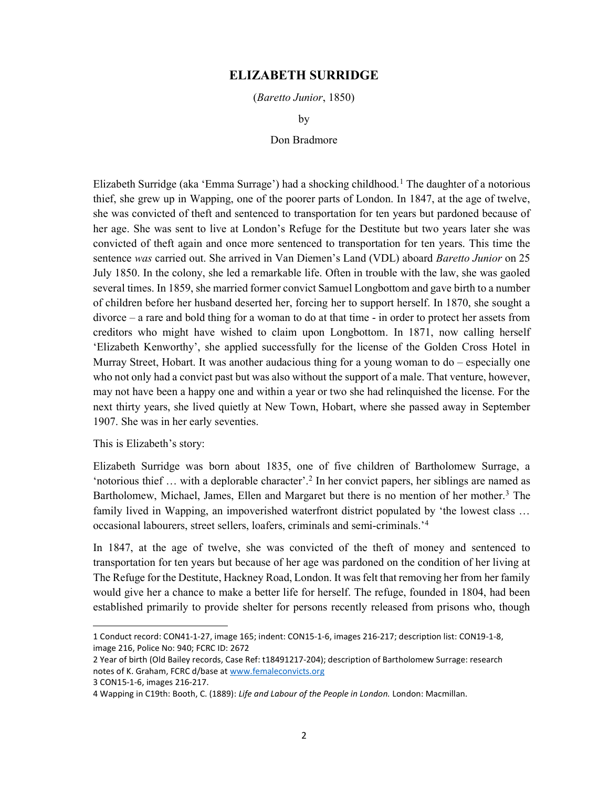## ELIZABETH SURRIDGE

(Baretto Junior, 1850)

by

## Don Bradmore

Elizabeth Surridge (aka 'Emma Surrage') had a shocking childhood.<sup>1</sup> The daughter of a notorious thief, she grew up in Wapping, one of the poorer parts of London. In 1847, at the age of twelve, she was convicted of theft and sentenced to transportation for ten years but pardoned because of her age. She was sent to live at London's Refuge for the Destitute but two years later she was convicted of theft again and once more sentenced to transportation for ten years. This time the sentence was carried out. She arrived in Van Diemen's Land (VDL) aboard Baretto Junior on 25 July 1850. In the colony, she led a remarkable life. Often in trouble with the law, she was gaoled several times. In 1859, she married former convict Samuel Longbottom and gave birth to a number of children before her husband deserted her, forcing her to support herself. In 1870, she sought a divorce – a rare and bold thing for a woman to do at that time - in order to protect her assets from creditors who might have wished to claim upon Longbottom. In 1871, now calling herself 'Elizabeth Kenworthy', she applied successfully for the license of the Golden Cross Hotel in Murray Street, Hobart. It was another audacious thing for a young woman to do – especially one who not only had a convict past but was also without the support of a male. That venture, however, may not have been a happy one and within a year or two she had relinquished the license. For the next thirty years, she lived quietly at New Town, Hobart, where she passed away in September 1907. She was in her early seventies.

This is Elizabeth's story:

Elizabeth Surridge was born about 1835, one of five children of Bartholomew Surrage, a 'notorious thief ... with a deplorable character'.<sup>2</sup> In her convict papers, her siblings are named as Bartholomew, Michael, James, Ellen and Margaret but there is no mention of her mother.<sup>3</sup> The family lived in Wapping, an impoverished waterfront district populated by 'the lowest class … occasional labourers, street sellers, loafers, criminals and semi-criminals.'<sup>4</sup>

In 1847, at the age of twelve, she was convicted of the theft of money and sentenced to transportation for ten years but because of her age was pardoned on the condition of her living at The Refuge for the Destitute, Hackney Road, London. It was felt that removing her from her family would give her a chance to make a better life for herself. The refuge, founded in 1804, had been established primarily to provide shelter for persons recently released from prisons who, though

<sup>1</sup> Conduct record: CON41-1-27, image 165; indent: CON15-1-6, images 216-217; description list: CON19-1-8, image 216, Police No: 940; FCRC ID: 2672

<sup>2</sup> Year of birth (Old Bailey records, Case Ref: t18491217-204); description of Bartholomew Surrage: research notes of K. Graham, FCRC d/base at www.femaleconvicts.org

<sup>3</sup> CON15-1-6, images 216-217.

<sup>4</sup> Wapping in C19th: Booth, C. (1889): Life and Labour of the People in London. London: Macmillan.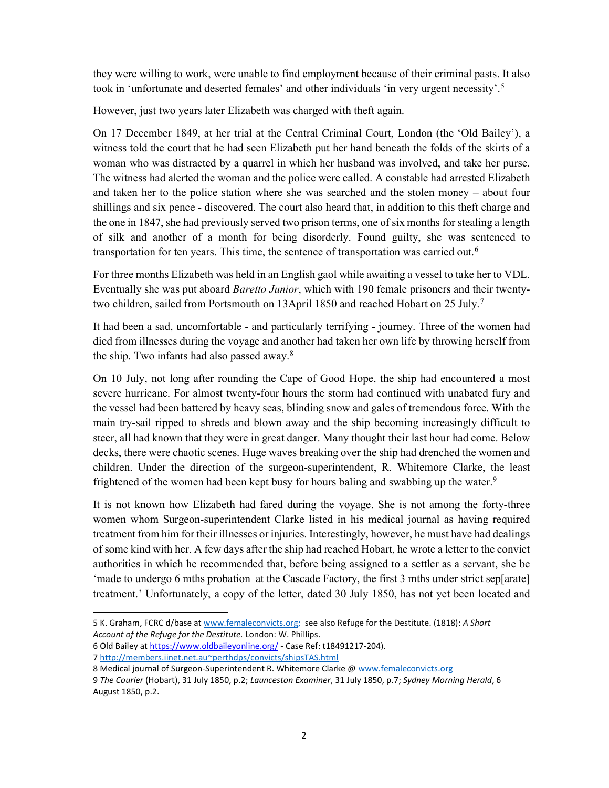they were willing to work, were unable to find employment because of their criminal pasts. It also took in 'unfortunate and deserted females' and other individuals 'in very urgent necessity'.<sup>5</sup>

However, just two years later Elizabeth was charged with theft again.

On 17 December 1849, at her trial at the Central Criminal Court, London (the 'Old Bailey'), a witness told the court that he had seen Elizabeth put her hand beneath the folds of the skirts of a woman who was distracted by a quarrel in which her husband was involved, and take her purse. The witness had alerted the woman and the police were called. A constable had arrested Elizabeth and taken her to the police station where she was searched and the stolen money – about four shillings and six pence - discovered. The court also heard that, in addition to this theft charge and the one in 1847, she had previously served two prison terms, one of six months for stealing a length of silk and another of a month for being disorderly. Found guilty, she was sentenced to transportation for ten years. This time, the sentence of transportation was carried out.<sup>6</sup>

For three months Elizabeth was held in an English gaol while awaiting a vessel to take her to VDL. Eventually she was put aboard Baretto Junior, which with 190 female prisoners and their twentytwo children, sailed from Portsmouth on 13April 1850 and reached Hobart on 25 July.<sup>7</sup>

It had been a sad, uncomfortable - and particularly terrifying - journey. Three of the women had died from illnesses during the voyage and another had taken her own life by throwing herself from the ship. Two infants had also passed away.<sup>8</sup>

On 10 July, not long after rounding the Cape of Good Hope, the ship had encountered a most severe hurricane. For almost twenty-four hours the storm had continued with unabated fury and the vessel had been battered by heavy seas, blinding snow and gales of tremendous force. With the main try-sail ripped to shreds and blown away and the ship becoming increasingly difficult to steer, all had known that they were in great danger. Many thought their last hour had come. Below decks, there were chaotic scenes. Huge waves breaking over the ship had drenched the women and children. Under the direction of the surgeon-superintendent, R. Whitemore Clarke, the least frightened of the women had been kept busy for hours baling and swabbing up the water.<sup>9</sup>

It is not known how Elizabeth had fared during the voyage. She is not among the forty-three women whom Surgeon-superintendent Clarke listed in his medical journal as having required treatment from him for their illnesses or injuries. Interestingly, however, he must have had dealings of some kind with her. A few days after the ship had reached Hobart, he wrote a letter to the convict authorities in which he recommended that, before being assigned to a settler as a servant, she be 'made to undergo 6 mths probation at the Cascade Factory, the first 3 mths under strict sep[arate] treatment.' Unfortunately, a copy of the letter, dated 30 July 1850, has not yet been located and

6 Old Bailey at https://www.oldbaileyonline.org/ - Case Ref: t18491217-204).

<sup>5</sup> K. Graham, FCRC d/base at www.femaleconvicts.org; see also Refuge for the Destitute. (1818): A Short Account of the Refuge for the Destitute. London: W. Phillips.

<sup>7</sup> http://members.iinet.net.au~perthdps/convicts/shipsTAS.html

<sup>8</sup> Medical journal of Surgeon-Superintendent R. Whitemore Clarke @ www.femaleconvicts.org

<sup>9</sup> The Courier (Hobart), 31 July 1850, p.2; Launceston Examiner, 31 July 1850, p.7; Sydney Morning Herald, 6 August 1850, p.2.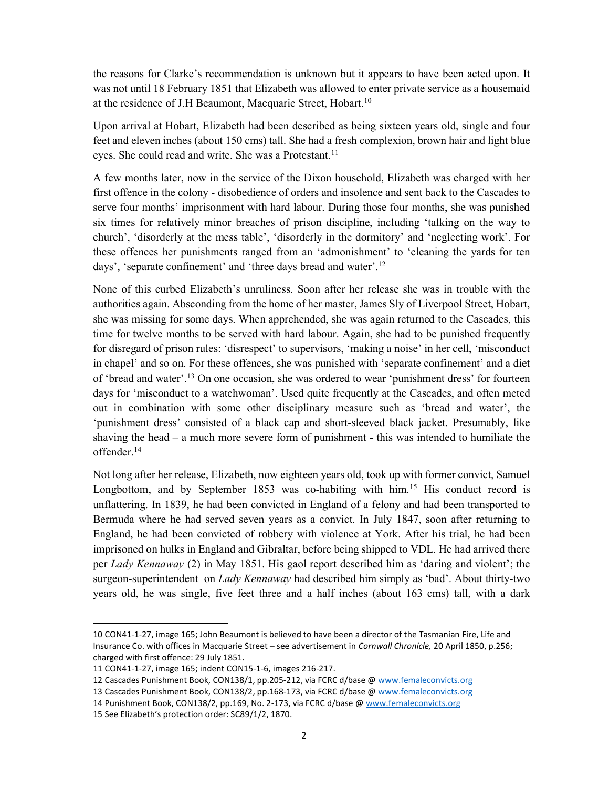the reasons for Clarke's recommendation is unknown but it appears to have been acted upon. It was not until 18 February 1851 that Elizabeth was allowed to enter private service as a housemaid at the residence of J.H Beaumont, Macquarie Street, Hobart.<sup>10</sup>

Upon arrival at Hobart, Elizabeth had been described as being sixteen years old, single and four feet and eleven inches (about 150 cms) tall. She had a fresh complexion, brown hair and light blue eyes. She could read and write. She was a Protestant.<sup>11</sup>

A few months later, now in the service of the Dixon household, Elizabeth was charged with her first offence in the colony - disobedience of orders and insolence and sent back to the Cascades to serve four months' imprisonment with hard labour. During those four months, she was punished six times for relatively minor breaches of prison discipline, including 'talking on the way to church', 'disorderly at the mess table', 'disorderly in the dormitory' and 'neglecting work'. For these offences her punishments ranged from an 'admonishment' to 'cleaning the yards for ten days', 'separate confinement' and 'three days bread and water'.<sup>12</sup>

None of this curbed Elizabeth's unruliness. Soon after her release she was in trouble with the authorities again. Absconding from the home of her master, James Sly of Liverpool Street, Hobart, she was missing for some days. When apprehended, she was again returned to the Cascades, this time for twelve months to be served with hard labour. Again, she had to be punished frequently for disregard of prison rules: 'disrespect' to supervisors, 'making a noise' in her cell, 'misconduct in chapel' and so on. For these offences, she was punished with 'separate confinement' and a diet of 'bread and water'.<sup>13</sup> On one occasion, she was ordered to wear 'punishment dress' for fourteen days for 'misconduct to a watchwoman'. Used quite frequently at the Cascades, and often meted out in combination with some other disciplinary measure such as 'bread and water', the 'punishment dress' consisted of a black cap and short-sleeved black jacket. Presumably, like shaving the head – a much more severe form of punishment - this was intended to humiliate the offender.<sup>14</sup>

Not long after her release, Elizabeth, now eighteen years old, took up with former convict, Samuel Longbottom, and by September 1853 was co-habiting with him.<sup>15</sup> His conduct record is unflattering. In 1839, he had been convicted in England of a felony and had been transported to Bermuda where he had served seven years as a convict. In July 1847, soon after returning to England, he had been convicted of robbery with violence at York. After his trial, he had been imprisoned on hulks in England and Gibraltar, before being shipped to VDL. He had arrived there per Lady Kennaway (2) in May 1851. His gaol report described him as 'daring and violent'; the surgeon-superintendent on *Lady Kennaway* had described him simply as 'bad'. About thirty-two years old, he was single, five feet three and a half inches (about 163 cms) tall, with a dark

<sup>10</sup> CON41-1-27, image 165; John Beaumont is believed to have been a director of the Tasmanian Fire, Life and Insurance Co. with offices in Macquarie Street – see advertisement in Cornwall Chronicle, 20 April 1850, p.256; charged with first offence: 29 July 1851.

<sup>11</sup> CON41-1-27, image 165; indent CON15-1-6, images 216-217.

<sup>12</sup> Cascades Punishment Book, CON138/1, pp.205-212, via FCRC d/base @ www.femaleconvicts.org

<sup>13</sup> Cascades Punishment Book, CON138/2, pp.168-173, via FCRC d/base @ www.femaleconvicts.org

<sup>14</sup> Punishment Book, CON138/2, pp.169, No. 2-173, via FCRC d/base @ www.femaleconvicts.org

<sup>15</sup> See Elizabeth's protection order: SC89/1/2, 1870.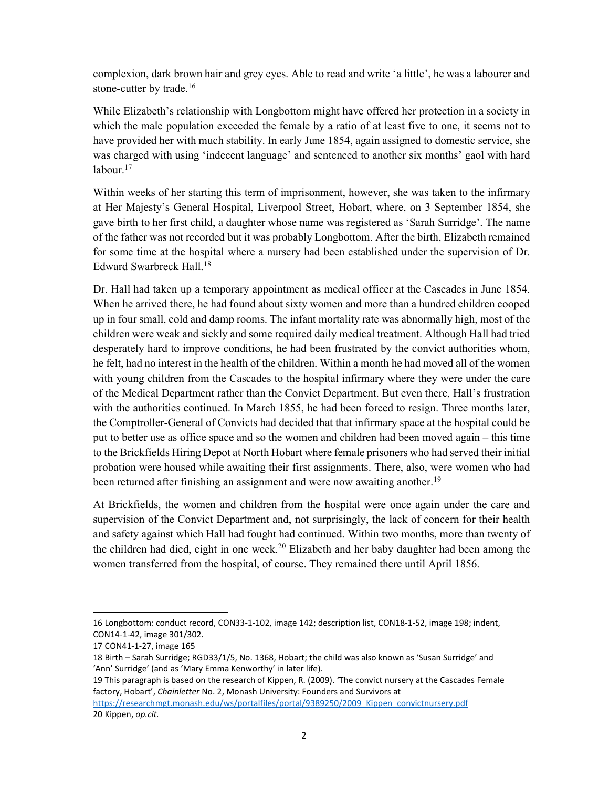complexion, dark brown hair and grey eyes. Able to read and write 'a little', he was a labourer and stone-cutter by trade.<sup>16</sup>

While Elizabeth's relationship with Longbottom might have offered her protection in a society in which the male population exceeded the female by a ratio of at least five to one, it seems not to have provided her with much stability. In early June 1854, again assigned to domestic service, she was charged with using 'indecent language' and sentenced to another six months' gaol with hard labour.<sup>17</sup>

Within weeks of her starting this term of imprisonment, however, she was taken to the infirmary at Her Majesty's General Hospital, Liverpool Street, Hobart, where, on 3 September 1854, she gave birth to her first child, a daughter whose name was registered as 'Sarah Surridge'. The name of the father was not recorded but it was probably Longbottom. After the birth, Elizabeth remained for some time at the hospital where a nursery had been established under the supervision of Dr. Edward Swarbreck Hall.<sup>18</sup>

Dr. Hall had taken up a temporary appointment as medical officer at the Cascades in June 1854. When he arrived there, he had found about sixty women and more than a hundred children cooped up in four small, cold and damp rooms. The infant mortality rate was abnormally high, most of the children were weak and sickly and some required daily medical treatment. Although Hall had tried desperately hard to improve conditions, he had been frustrated by the convict authorities whom, he felt, had no interest in the health of the children. Within a month he had moved all of the women with young children from the Cascades to the hospital infirmary where they were under the care of the Medical Department rather than the Convict Department. But even there, Hall's frustration with the authorities continued. In March 1855, he had been forced to resign. Three months later, the Comptroller-General of Convicts had decided that that infirmary space at the hospital could be put to better use as office space and so the women and children had been moved again – this time to the Brickfields Hiring Depot at North Hobart where female prisoners who had served their initial probation were housed while awaiting their first assignments. There, also, were women who had been returned after finishing an assignment and were now awaiting another.<sup>19</sup>

At Brickfields, the women and children from the hospital were once again under the care and supervision of the Convict Department and, not surprisingly, the lack of concern for their health and safety against which Hall had fought had continued. Within two months, more than twenty of the children had died, eight in one week.<sup>20</sup> Elizabeth and her baby daughter had been among the women transferred from the hospital, of course. They remained there until April 1856.

<sup>16</sup> Longbottom: conduct record, CON33-1-102, image 142; description list, CON18-1-52, image 198; indent, CON14-1-42, image 301/302.

<sup>17</sup> CON41-1-27, image 165

<sup>18</sup> Birth – Sarah Surridge; RGD33/1/5, No. 1368, Hobart; the child was also known as 'Susan Surridge' and 'Ann' Surridge' (and as 'Mary Emma Kenworthy' in later life).

<sup>19</sup> This paragraph is based on the research of Kippen, R. (2009). 'The convict nursery at the Cascades Female factory, Hobart', Chainletter No. 2, Monash University: Founders and Survivors at

https://researchmgt.monash.edu/ws/portalfiles/portal/9389250/2009\_Kippen\_convictnursery.pdf 20 Kippen, op.cit.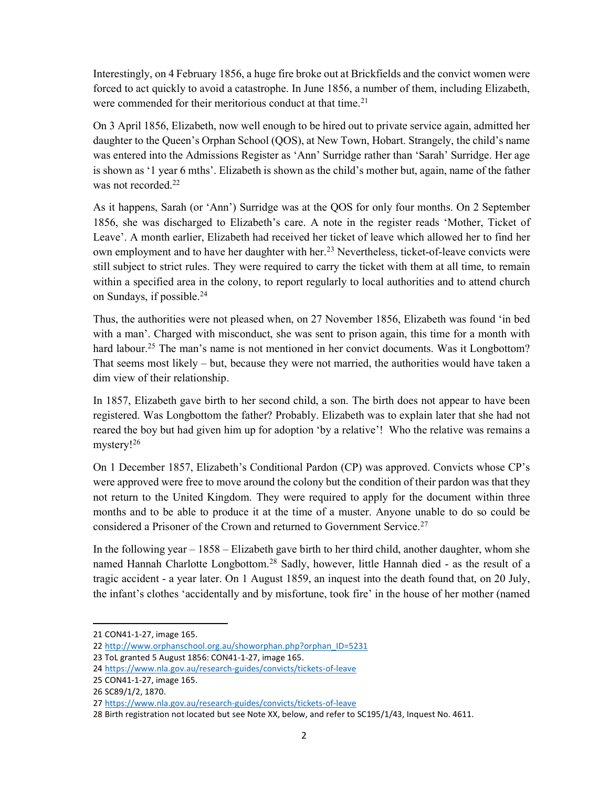Interestingly, on 4 February 1856, a huge fire broke out at Brickfields and the convict women were forced to act quickly to avoid a catastrophe. In June 1856, a number of them, including Elizabeth, were commended for their meritorious conduct at that time.<sup>21</sup>

On 3 April 1856, Elizabeth, now well enough to be hired out to private service again, admitted her daughter to the Queen's Orphan School (QOS), at New Town, Hobart. Strangely, the child's name was entered into the Admissions Register as 'Ann' Surridge rather than 'Sarah' Surridge. Her age is shown as '1 year 6 mths'. Elizabeth is shown as the child's mother but, again, name of the father was not recorded.<sup>22</sup>

As it happens, Sarah (or 'Ann') Surridge was at the QOS for only four months. On 2 September 1856, she was discharged to Elizabeth's care. A note in the register reads 'Mother, Ticket of Leave'. A month earlier, Elizabeth had received her ticket of leave which allowed her to find her own employment and to have her daughter with her.<sup>23</sup> Nevertheless, ticket-of-leave convicts were still subject to strict rules. They were required to carry the ticket with them at all time, to remain within a specified area in the colony, to report regularly to local authorities and to attend church on Sundays, if possible.<sup>24</sup>

Thus, the authorities were not pleased when, on 27 November 1856, Elizabeth was found 'in bed with a man'. Charged with misconduct, she was sent to prison again, this time for a month with hard labour.<sup>25</sup> The man's name is not mentioned in her convict documents. Was it Longbottom? That seems most likely – but, because they were not married, the authorities would have taken a dim view of their relationship.

In 1857, Elizabeth gave birth to her second child, a son. The birth does not appear to have been registered. Was Longbottom the father? Probably. Elizabeth was to explain later that she had not reared the boy but had given him up for adoption 'by a relative'! Who the relative was remains a mystery!<sup>26</sup>

On 1 December 1857, Elizabeth's Conditional Pardon (CP) was approved. Convicts whose CP's were approved were free to move around the colony but the condition of their pardon was that they not return to the United Kingdom. They were required to apply for the document within three months and to be able to produce it at the time of a muster. Anyone unable to do so could be considered a Prisoner of the Crown and returned to Government Service.<sup>27</sup>

In the following year – 1858 – Elizabeth gave birth to her third child, another daughter, whom she named Hannah Charlotte Longbottom.<sup>28</sup> Sadly, however, little Hannah died - as the result of a tragic accident - a year later. On 1 August 1859, an inquest into the death found that, on 20 July, the infant's clothes 'accidentally and by misfortune, took fire' in the house of her mother (named

<sup>21</sup> CON41-1-27, image 165.

<sup>22</sup> http://www.orphanschool.org.au/showorphan.php?orphan\_ID=5231

<sup>23</sup> ToL granted 5 August 1856: CON41-1-27, image 165.

<sup>24</sup> https://www.nla.gov.au/research-guides/convicts/tickets-of-leave

<sup>25</sup> CON41-1-27, image 165.

<sup>26</sup> SC89/1/2, 1870.

<sup>27</sup> https://www.nla.gov.au/research-guides/convicts/tickets-of-leave

<sup>28</sup> Birth registration not located but see Note XX, below, and refer to SC195/1/43, Inquest No. 4611.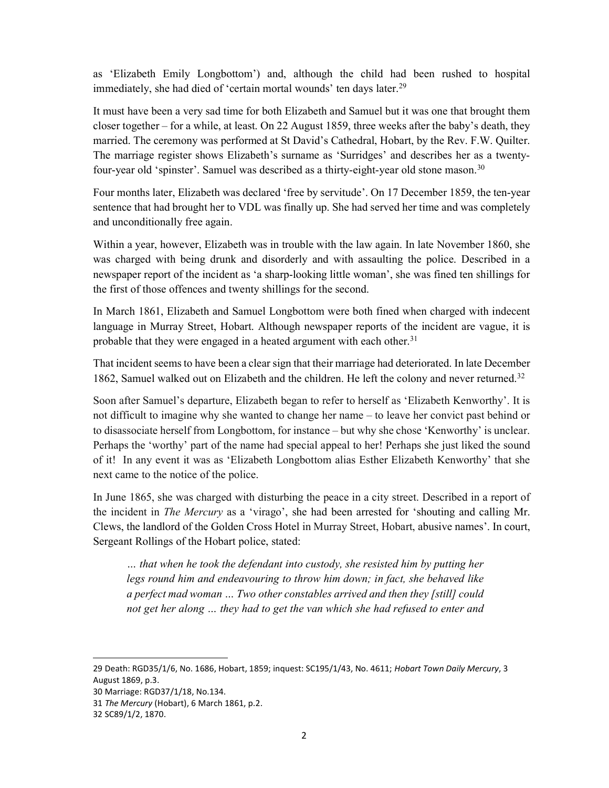as 'Elizabeth Emily Longbottom') and, although the child had been rushed to hospital immediately, she had died of 'certain mortal wounds' ten days later.<sup>29</sup>

It must have been a very sad time for both Elizabeth and Samuel but it was one that brought them closer together – for a while, at least. On 22 August 1859, three weeks after the baby's death, they married. The ceremony was performed at St David's Cathedral, Hobart, by the Rev. F.W. Quilter. The marriage register shows Elizabeth's surname as 'Surridges' and describes her as a twentyfour-year old 'spinster'. Samuel was described as a thirty-eight-year old stone mason.<sup>30</sup>

Four months later, Elizabeth was declared 'free by servitude'. On 17 December 1859, the ten-year sentence that had brought her to VDL was finally up. She had served her time and was completely and unconditionally free again.

Within a year, however, Elizabeth was in trouble with the law again. In late November 1860, she was charged with being drunk and disorderly and with assaulting the police. Described in a newspaper report of the incident as 'a sharp-looking little woman', she was fined ten shillings for the first of those offences and twenty shillings for the second.

In March 1861, Elizabeth and Samuel Longbottom were both fined when charged with indecent language in Murray Street, Hobart. Although newspaper reports of the incident are vague, it is probable that they were engaged in a heated argument with each other.<sup>31</sup>

That incident seems to have been a clear sign that their marriage had deteriorated. In late December 1862, Samuel walked out on Elizabeth and the children. He left the colony and never returned.<sup>32</sup>

Soon after Samuel's departure, Elizabeth began to refer to herself as 'Elizabeth Kenworthy'. It is not difficult to imagine why she wanted to change her name – to leave her convict past behind or to disassociate herself from Longbottom, for instance – but why she chose 'Kenworthy' is unclear. Perhaps the 'worthy' part of the name had special appeal to her! Perhaps she just liked the sound of it! In any event it was as 'Elizabeth Longbottom alias Esther Elizabeth Kenworthy' that she next came to the notice of the police.

In June 1865, she was charged with disturbing the peace in a city street. Described in a report of the incident in The Mercury as a 'virago', she had been arrested for 'shouting and calling Mr. Clews, the landlord of the Golden Cross Hotel in Murray Street, Hobart, abusive names'. In court, Sergeant Rollings of the Hobart police, stated:

… that when he took the defendant into custody, she resisted him by putting her legs round him and endeavouring to throw him down; in fact, she behaved like a perfect mad woman … Two other constables arrived and then they [still] could not get her along … they had to get the van which she had refused to enter and

<sup>29</sup> Death: RGD35/1/6, No. 1686, Hobart, 1859; inquest: SC195/1/43, No. 4611; Hobart Town Daily Mercury, 3 August 1869, p.3.

<sup>30</sup> Marriage: RGD37/1/18, No.134.

<sup>31</sup> The Mercury (Hobart), 6 March 1861, p.2.

<sup>32</sup> SC89/1/2, 1870.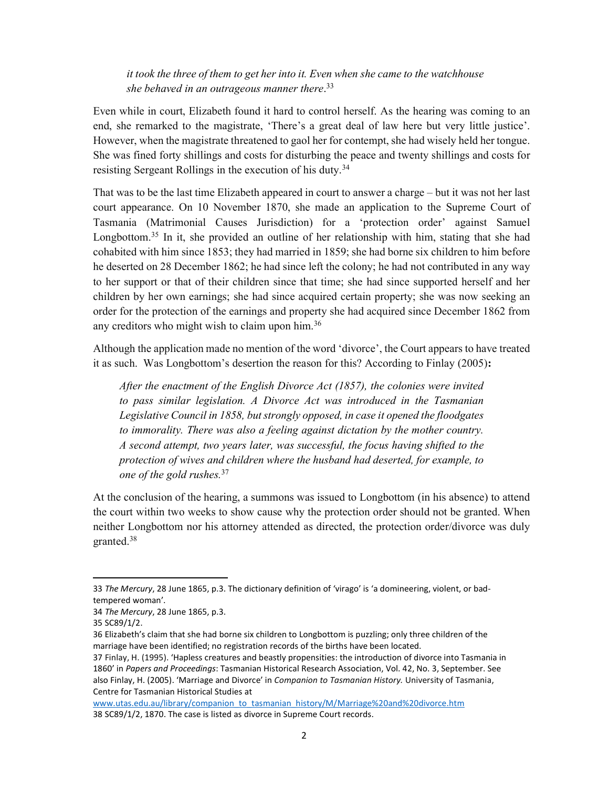it took the three of them to get her into it. Even when she came to the watchhouse she behaved in an outrageous manner there. $33$ 

Even while in court, Elizabeth found it hard to control herself. As the hearing was coming to an end, she remarked to the magistrate, 'There's a great deal of law here but very little justice'. However, when the magistrate threatened to gaol her for contempt, she had wisely held her tongue. She was fined forty shillings and costs for disturbing the peace and twenty shillings and costs for resisting Sergeant Rollings in the execution of his duty.<sup>34</sup>

That was to be the last time Elizabeth appeared in court to answer a charge – but it was not her last court appearance. On 10 November 1870, she made an application to the Supreme Court of Tasmania (Matrimonial Causes Jurisdiction) for a 'protection order' against Samuel Longbottom.<sup>35</sup> In it, she provided an outline of her relationship with him, stating that she had cohabited with him since 1853; they had married in 1859; she had borne six children to him before he deserted on 28 December 1862; he had since left the colony; he had not contributed in any way to her support or that of their children since that time; she had since supported herself and her children by her own earnings; she had since acquired certain property; she was now seeking an order for the protection of the earnings and property she had acquired since December 1862 from any creditors who might wish to claim upon him.<sup>36</sup>

Although the application made no mention of the word 'divorce', the Court appears to have treated it as such. Was Longbottom's desertion the reason for this? According to Finlay (2005):

After the enactment of the English Divorce Act (1857), the colonies were invited to pass similar legislation. A Divorce Act was introduced in the Tasmanian Legislative Council in 1858, but strongly opposed, in case it opened the floodgates to immorality. There was also a feeling against dictation by the mother country. A second attempt, two years later, was successful, the focus having shifted to the protection of wives and children where the husband had deserted, for example, to one of the gold rushes.<sup>37</sup>

At the conclusion of the hearing, a summons was issued to Longbottom (in his absence) to attend the court within two weeks to show cause why the protection order should not be granted. When neither Longbottom nor his attorney attended as directed, the protection order/divorce was duly granted.<sup>38</sup>

1

www.utas.edu.au/library/companion\_to\_tasmanian\_history/M/Marriage%20and%20divorce.htm 38 SC89/1/2, 1870. The case is listed as divorce in Supreme Court records.

<sup>33</sup> The Mercury, 28 June 1865, p.3. The dictionary definition of 'virago' is 'a domineering, violent, or badtempered woman'.

<sup>34</sup> The Mercury, 28 June 1865, p.3.

<sup>35</sup> SC89/1/2.

<sup>36</sup> Elizabeth's claim that she had borne six children to Longbottom is puzzling; only three children of the marriage have been identified; no registration records of the births have been located.

<sup>37</sup> Finlay, H. (1995). 'Hapless creatures and beastly propensities: the introduction of divorce into Tasmania in 1860' in Papers and Proceedings: Tasmanian Historical Research Association, Vol. 42, No. 3, September. See also Finlay, H. (2005). 'Marriage and Divorce' in Companion to Tasmanian History. University of Tasmania, Centre for Tasmanian Historical Studies at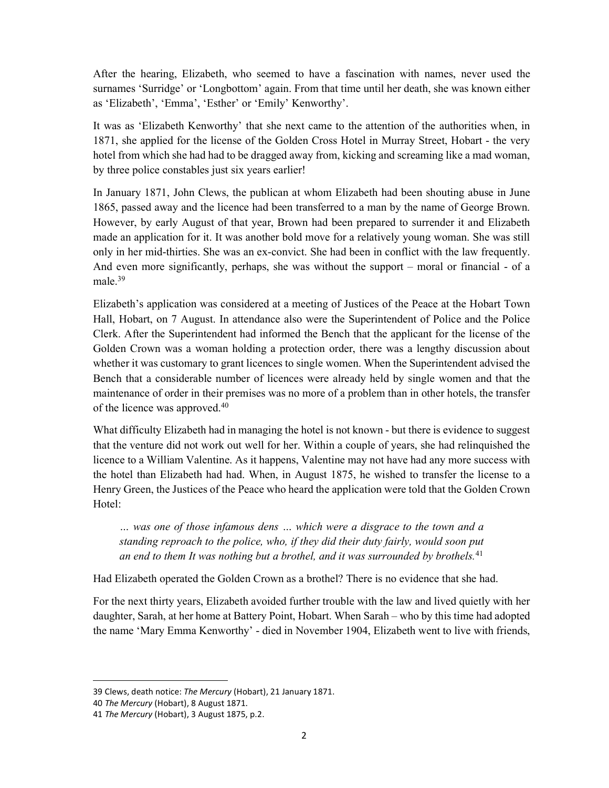After the hearing, Elizabeth, who seemed to have a fascination with names, never used the surnames 'Surridge' or 'Longbottom' again. From that time until her death, she was known either as 'Elizabeth', 'Emma', 'Esther' or 'Emily' Kenworthy'.

It was as 'Elizabeth Kenworthy' that she next came to the attention of the authorities when, in 1871, she applied for the license of the Golden Cross Hotel in Murray Street, Hobart - the very hotel from which she had had to be dragged away from, kicking and screaming like a mad woman, by three police constables just six years earlier!

In January 1871, John Clews, the publican at whom Elizabeth had been shouting abuse in June 1865, passed away and the licence had been transferred to a man by the name of George Brown. However, by early August of that year, Brown had been prepared to surrender it and Elizabeth made an application for it. It was another bold move for a relatively young woman. She was still only in her mid-thirties. She was an ex-convict. She had been in conflict with the law frequently. And even more significantly, perhaps, she was without the support – moral or financial - of a male.<sup>39</sup>

Elizabeth's application was considered at a meeting of Justices of the Peace at the Hobart Town Hall, Hobart, on 7 August. In attendance also were the Superintendent of Police and the Police Clerk. After the Superintendent had informed the Bench that the applicant for the license of the Golden Crown was a woman holding a protection order, there was a lengthy discussion about whether it was customary to grant licences to single women. When the Superintendent advised the Bench that a considerable number of licences were already held by single women and that the maintenance of order in their premises was no more of a problem than in other hotels, the transfer of the licence was approved.<sup>40</sup>

What difficulty Elizabeth had in managing the hotel is not known - but there is evidence to suggest that the venture did not work out well for her. Within a couple of years, she had relinquished the licence to a William Valentine. As it happens, Valentine may not have had any more success with the hotel than Elizabeth had had. When, in August 1875, he wished to transfer the license to a Henry Green, the Justices of the Peace who heard the application were told that the Golden Crown Hotel:

… was one of those infamous dens … which were a disgrace to the town and a standing reproach to the police, who, if they did their duty fairly, would soon put an end to them It was nothing but a brothel, and it was surrounded by brothels.<sup>41</sup>

Had Elizabeth operated the Golden Crown as a brothel? There is no evidence that she had.

For the next thirty years, Elizabeth avoided further trouble with the law and lived quietly with her daughter, Sarah, at her home at Battery Point, Hobart. When Sarah – who by this time had adopted the name 'Mary Emma Kenworthy' - died in November 1904, Elizabeth went to live with friends,

<sup>39</sup> Clews, death notice: The Mercury (Hobart), 21 January 1871.

<sup>40</sup> The Mercury (Hobart), 8 August 1871.

<sup>41</sup> The Mercury (Hobart), 3 August 1875, p.2.